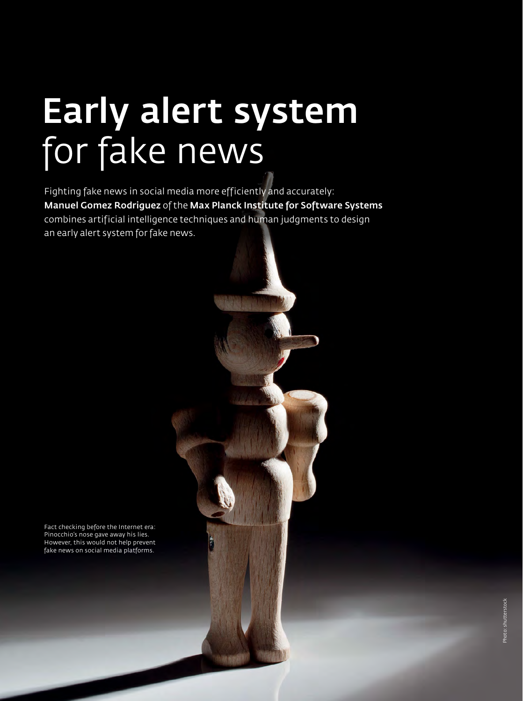# Early alert system for fake news

Fighting fake news in social media more efficiently and accurately: Manuel Gomez Rodriguez of the Max Planck Institute for Software Systems combines artificial intelligence techniques and human judgments to design an early alert system for fake news.

Fact checking before the Internet era: Pinocchio's nose gave away his lies. However, this would not help prevent fake news on social media platforms.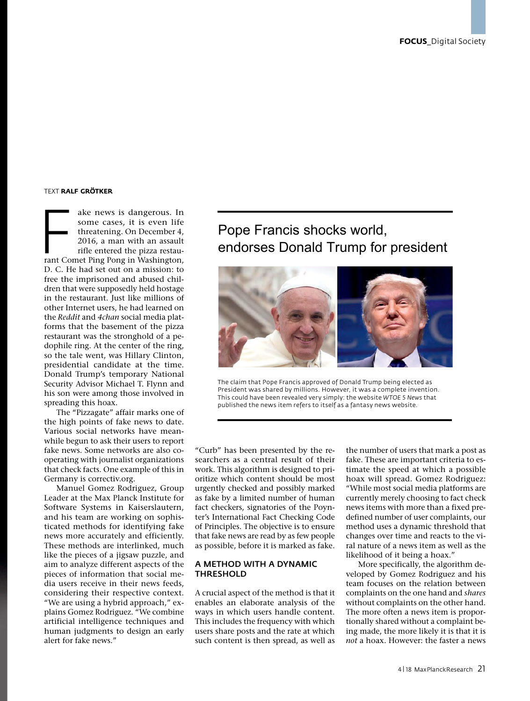#### TEXT **RALF GRÖTKER**

ake news is dangerous. In<br>
some cases, it is even life<br>
threatening. On December 4,<br>
2016, a man with an assault<br>
rifle entered the pizza restau-<br>
rant Comet Ping Pong in Washington, some cases, it is even life threatening. On December 4, 2016, a man with an assault rifle entered the pizza restau-D. C. He had set out on a mission: to free the imprisoned and abused children that were supposedly held hostage in the restaurant. Just like millions of other Internet users, he had learned on the *Reddit* and *4chan* social media platforms that the basement of the pizza restaurant was the stronghold of a pedophile ring. At the center of the ring, so the tale went, was Hillary Clinton, presidential candidate at the time. Donald Trump's temporary National Security Advisor Michael T. Flynn and his son were among those involved in spreading this hoax.

The "Pizzagate" affair marks one of the high points of fake news to date. Various social networks have meanwhile begun to ask their users to report fake news. Some networks are also cooperating with journalist organizations that check facts. One example of this in Germany is correctiv.org.

Manuel Gomez Rodriguez, Group Leader at the Max Planck Institute for Software Systems in Kaiserslautern, and his team are working on sophisticated methods for identifying fake news more accurately and efficiently. These methods are interlinked, much like the pieces of a jigsaw puzzle, and aim to analyze different aspects of the pieces of information that social media users receive in their news feeds, considering their respective context. "We are using a hybrid approach," explains Gomez Rodriguez. "We combine artificial intelligence techniques and human judgments to design an early alert for fake news."

# Pope Francis shocks world, endorses Donald Trump for president



The claim that Pope Francis approved of Donald Trump being elected as President was shared by millions. However, it was a complete invention. This could have been revealed very simply: the website *WTOE 5 News* that published the news item refers to itself as a fantasy news website.

"Curb" has been presented by the researchers as a central result of their work. This algorithm is designed to prioritize which content should be most urgently checked and possibly marked as fake by a limited number of human fact checkers, signatories of the Poynter's International Fact Checking Code of Principles. The objective is to ensure that fake news are read by as few people as possible, before it is marked as fake.

#### A METHOD WITH A DYNAMIC THRESHOLD

A crucial aspect of the method is that it enables an elaborate analysis of the ways in which users handle content. This includes the frequency with which users share posts and the rate at which such content is then spread, as well as the number of users that mark a post as fake. These are important criteria to estimate the speed at which a possible hoax will spread. Gomez Rodriguez: "While most social media platforms are currently merely choosing to fact check news items with more than a fixed predefined number of user complaints, our method uses a dynamic threshold that changes over time and reacts to the viral nature of a news item as well as the likelihood of it being a hoax."

More specifically, the algorithm developed by Gomez Rodriguez and his team focuses on the relation between complaints on the one hand and *shares*  without complaints on the other hand. The more often a news item is proportionally shared without a complaint being made, the more likely it is that it is *not* a hoax. However: the faster a news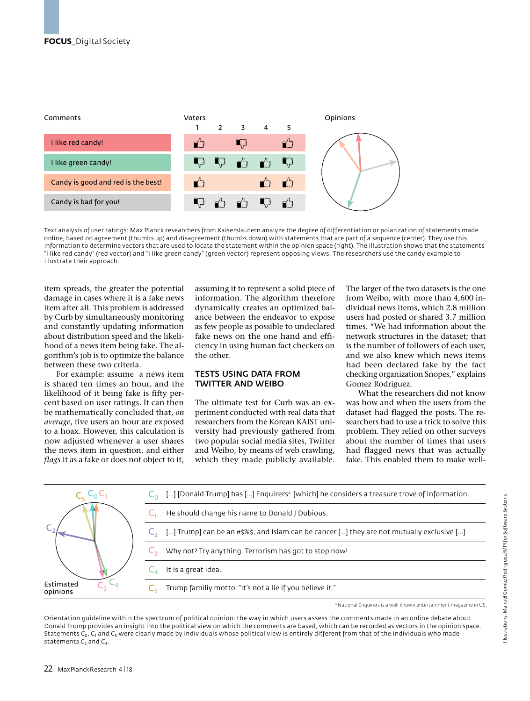

Text analysis of user ratings: Max Planck researchers from Kaiserslautern analyze the degree of differentiation or polarization of statements made online, based on agreement (thumbs up) and disagreement (thumbs down) with statements that are part of a sequence (center). They use this information to determine vectors that are used to locate the statement within the opinion space (right). The illustration shows that the statements "I like red candy" (red vector) and "I like green candy" (green vector) represent opposing views. The researchers use the candy example to illustrate their approach.

item spreads, the greater the potential damage in cases where it is a fake news item after all. This problem is addressed by Curb by simultaneously monitoring and constantly updating information about distribution speed and the likelihood of a news item being fake. The algorithm's job is to optimize the balance between these two criteria.

For example: assume a news item is shared ten times an hour, and the likelihood of it being fake is fifty percent based on user ratings. It can then be mathematically concluded that, *on average*, five users an hour are exposed to a hoax. However, this calculation is now adjusted whenever a user shares the news item in question, and either *flags* it as a fake or does not object to it,

assuming it to represent a solid piece of information. The algorithm therefore dynamically creates an optimized balance between the endeavor to expose as few people as possible to undeclared fake news on the one hand and efficiency in using human fact checkers on the other.

## TESTS USING DATA FROM TWITTER AND WEIBO

The ultimate test for Curb was an experiment conducted with real data that researchers from the Korean KAIST university had previously gathered from two popular social media sites, Twitter and Weibo, by means of web crawling, which they made publicly available. The larger of the two datasets is the one from Weibo, with more than 4,600 individual news items, which 2.8 million users had posted or shared 3.7 million times. "We had information about the network structures in the dataset; that is the number of followers of each user, and we also knew which news items had been declared fake by the fact checking organization Snopes," explains Gomez Rodriguez.

What the researchers did not know was how and when the users from the dataset had flagged the posts. The researchers had to use a trick to solve this problem. They relied on other surveys about the number of times that users had flagged news that was actually fake. This enabled them to make well-



a National Enquirers is a well known entertainment magazine in US.

Orientation guideline within the spectrum of political opinion: the way in which users assess the comments made in an online debate about Donald Trump provides an insight into the political view on which the comments are based, which can be recorded as vectors in the opinion space. Statements C<sub>0</sub>, C<sub>1</sub> and C<sub>5</sub> were clearly made by individuals whose political view is entirely different from that of the individuals who made statements  $C_3$  and  $C_4$ .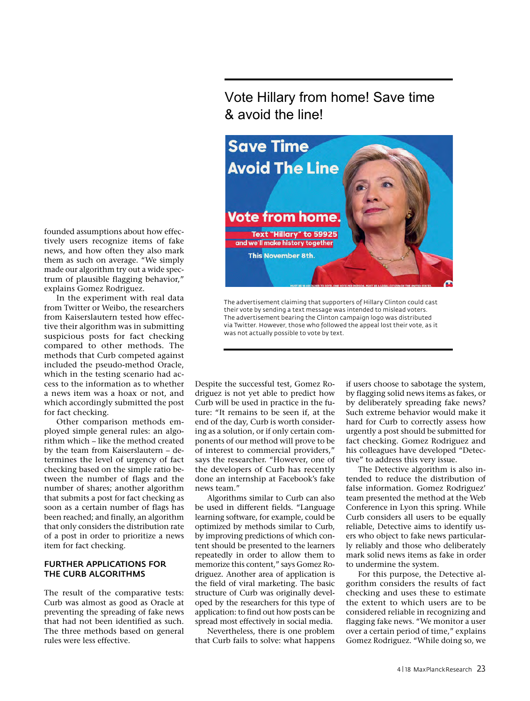Vote Hillary from home! Save time & avoid the line!



The advertisement claiming that supporters of Hillary Clinton could cast their vote by sending a text message was intended to mislead voters. The advertisement bearing the Clinton campaign logo was distributed via Twitter. However, those who followed the appeal lost their vote, as it was not actually possible to vote by text.

Despite the successful test, Gomez Rodriguez is not yet able to predict how Curb will be used in practice in the future: "It remains to be seen if, at the end of the day, Curb is worth considering as a solution, or if only certain components of our method will prove to be of interest to commercial providers," says the researcher. "However, one of the developers of Curb has recently done an internship at Facebook's fake news team."

Algorithms similar to Curb can also be used in different fields. "Language learning software, for example, could be optimized by methods similar to Curb, by improving predictions of which content should be presented to the learners repeatedly in order to allow them to memorize this content," says Gomez Rodriguez. Another area of application is the field of viral marketing. The basic structure of Curb was originally developed by the researchers for this type of application: to find out how posts can be spread most effectively in social media.

Nevertheless, there is one problem that Curb fails to solve: what happens if users choose to sabotage the system, by flagging solid news items as fakes, or by deliberately spreading fake news? Such extreme behavior would make it hard for Curb to correctly assess how urgently a post should be submitted for fact checking. Gomez Rodriguez and his colleagues have developed "Detective" to address this very issue.

The Detective algorithm is also intended to reduce the distribution of false information. Gomez Rodriguez' team presented the method at the Web Conference in Lyon this spring. While Curb considers all users to be equally reliable, Detective aims to identify users who object to fake news particularly reliably and those who deliberately mark solid news items as fake in order to undermine the system.

For this purpose, the Detective algorithm considers the results of fact checking and uses these to estimate the extent to which users are to be considered reliable in recognizing and flagging fake news. "We monitor a user over a certain period of time," explains Gomez Rodriguez. "While doing so, we

founded assumptions about how effectively users recognize items of fake news, and how often they also mark them as such on average. "We simply made our algorithm try out a wide spectrum of plausible flagging behavior," explains Gomez Rodriguez.

In the experiment with real data from Twitter or Weibo, the researchers from Kaiserslautern tested how effective their algorithm was in submitting suspicious posts for fact checking compared to other methods. The methods that Curb competed against included the pseudo-method Oracle, which in the testing scenario had access to the information as to whether a news item was a hoax or not, and which accordingly submitted the post for fact checking.

Other comparison methods employed simple general rules: an algorithm which – like the method created by the team from Kaiserslautern – determines the level of urgency of fact checking based on the simple ratio between the number of flags and the number of shares; another algorithm that submits a post for fact checking as soon as a certain number of flags has been reached; and finally, an algorithm that only considers the distribution rate of a post in order to prioritize a news item for fact checking.

#### FURTHER APPLICATIONS FOR THE CURB ALGORITHMS

The result of the comparative tests: Curb was almost as good as Oracle at preventing the spreading of fake news that had not been identified as such. The three methods based on general rules were less effective.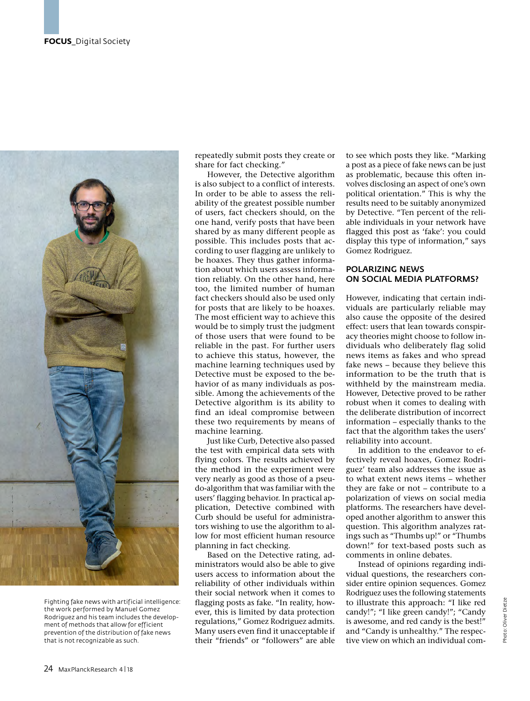

Fighting fake news with artificial intelligence: the work performed by Manuel Gomez Rodriguez and his team includes the development of methods that allow for efficient prevention of the distribution of fake news that is not recognizable as such.

repeatedly submit posts they create or share for fact checking."

However, the Detective algorithm is also subject to a conflict of interests. In order to be able to assess the reliability of the greatest possible number of users, fact checkers should, on the one hand, verify posts that have been shared by as many different people as possible. This includes posts that according to user flagging are unlikely to be hoaxes. They thus gather information about which users assess information reliably. On the other hand, here too, the limited number of human fact checkers should also be used only for posts that are likely to be hoaxes. The most efficient way to achieve this would be to simply trust the judgment of those users that were found to be reliable in the past. For further users to achieve this status, however, the machine learning techniques used by Detective must be exposed to the behavior of as many individuals as possible. Among the achievements of the Detective algorithm is its ability to find an ideal compromise between these two requirements by means of machine learning.

Just like Curb, Detective also passed the test with empirical data sets with flying colors. The results achieved by the method in the experiment were very nearly as good as those of a pseudo-algorithm that was familiar with the users' flagging behavior. In practical application, Detective combined with Curb should be useful for administrators wishing to use the algorithm to allow for most efficient human resource planning in fact checking.

Based on the Detective rating, administrators would also be able to give users access to information about the reliability of other individuals within their social network when it comes to flagging posts as fake. "In reality, however, this is limited by data protection regulations," Gomez Rodriguez admits. Many users even find it unacceptable if their "friends" or "followers" are able

to see which posts they like. "Marking a post as a piece of fake news can be just as problematic, because this often involves disclosing an aspect of one's own political orientation." This is why the results need to be suitably anonymized by Detective. "Ten percent of the reliable individuals in your network have flagged this post as 'fake': you could display this type of information," says Gomez Rodriguez.

### POLARIZING NEWS ON SOCIAL MEDIA PLATFORMS?

However, indicating that certain individuals are particularly reliable may also cause the opposite of the desired effect: users that lean towards conspiracy theories might choose to follow individuals who deliberately flag solid news items as fakes and who spread fake news – because they believe this information to be the truth that is withheld by the mainstream media. However, Detective proved to be rather robust when it comes to dealing with the deliberate distribution of incorrect information – especially thanks to the fact that the algorithm takes the users' reliability into account.

In addition to the endeavor to effectively reveal hoaxes, Gomez Rodriguez' team also addresses the issue as to what extent news items – whether they are fake or not – contribute to a polarization of views on social media platforms. The researchers have developed another algorithm to answer this question. This algorithm analyzes ratings such as "Thumbs up!" or "Thumbs down!" for text-based posts such as comments in online debates.

Instead of opinions regarding individual questions, the researchers consider entire opinion sequences. Gomez Rodriguez uses the following statements to illustrate this approach: "I like red candy!"; "I like green candy!"; "Candy is awesome, and red candy is the best!" and "Candy is unhealthy." The respective view on which an individual com-